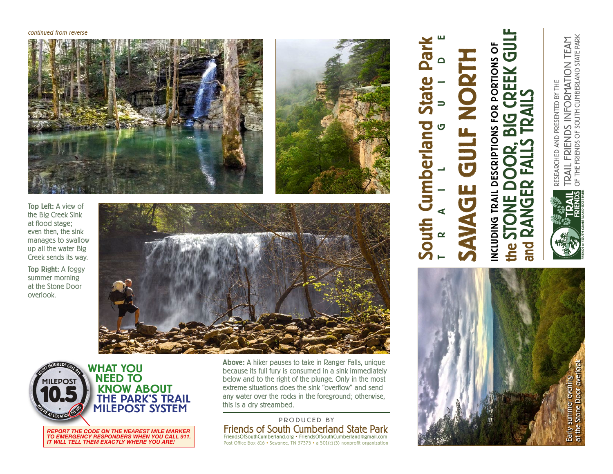#### continued from reverse





South Cumberland State Park

**umberland** 

South

Park

Dial

TRAIL GUIDE

SAVAGE GULF NORTH

 $\overline{\mathbf{G}}$ 

F NORT

INCLUDING TRAIL DESCRIPTIONS FOR PORTIONS OF

NCLUDING TRAIL DESCRIPTIONS FOR PORTIONS O

the STONE DOOR, BIG CREEK GULF

the

REEK GU

and RANGER FALLS TRAILS

 $\mathbf{\Omega}$ 

◀  $\mathbf{\Omega}$ 

and

Top Left: A view of the Big Creek Sink at flood stage; even then, the sink manages to swallow up all the water Big Creek sends its way.

Top Right: A foggy summer morning at the Stone Door overlook.





actual size: 4.5"diameter *REPORT THE CODE ON THE NEAREST MILE MARKER TO EMERGENCY RESPONDERS WHEN YOU CALL 911. IT WILL TELL THEM EXACTLY WHERE YOU ARE!*

Above: A hiker pauses to take in Ranger Falls, unique because its full fury is consumed in a sink immediately below and to the right of the plunge. Only in the most extreme situations does the sink "overflow" and send any water over the rocks in the foreground; otherwise, this is a dry streambed.

### Friends of South Cumberland State Park FriendsOfSouthCumberland.org • FriendsOfSouthCumberland@gmail.com PRODUCED BY

Post Office Box 816 • Sewanee, TN 37375 • a 501(c)(3) nonprofit organization

TRAIL FRIENDS INFORMATION TEAM<br>of the friends of south cumberland state park OF THE FRIENDS OF SOUTH CUMBERLAND STATE PARK TRAIL FRIENDS INFORMATION TEAM RESEARCHED AND PRESENTED BY THE RESEARCHED AND PRESENTED BY THE